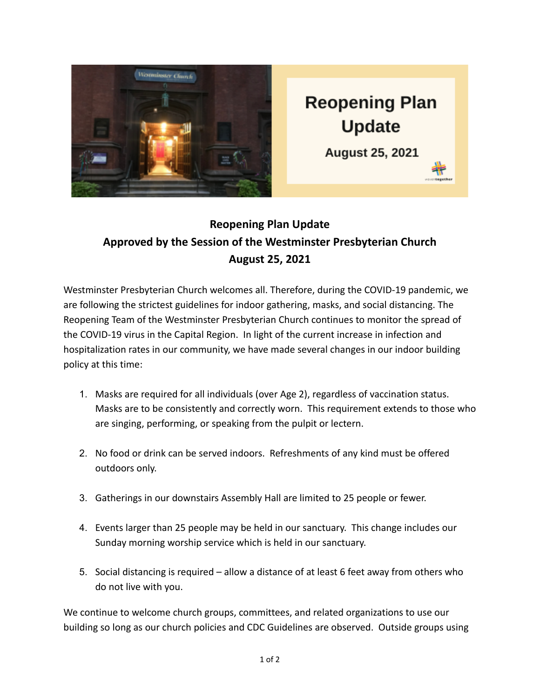

## **Reopening Plan Update Approved by the Session of the Westminster Presbyterian Church August 25, 2021**

Westminster Presbyterian Church welcomes all. Therefore, during the COVID-19 pandemic, we are following the strictest guidelines for indoor gathering, masks, and social distancing. The Reopening Team of the Westminster Presbyterian Church continues to monitor the spread of the COVID-19 virus in the Capital Region. In light of the current increase in infection and hospitalization rates in our community, we have made several changes in our indoor building policy at this time:

- 1. Masks are required for all individuals (over Age 2), regardless of vaccination status. Masks are to be consistently and correctly worn. This requirement extends to those who are singing, performing, or speaking from the pulpit or lectern.
- 2. No food or drink can be served indoors. Refreshments of any kind must be offered outdoors only.
- 3. Gatherings in our downstairs Assembly Hall are limited to 25 people or fewer.
- 4. Events larger than 25 people may be held in our sanctuary. This change includes our Sunday morning worship service which is held in our sanctuary.
- 5. Social distancing is required allow a distance of at least 6 feet away from others who do not live with you.

We continue to welcome church groups, committees, and related organizations to use our building so long as our church policies and CDC Guidelines are observed. Outside groups using